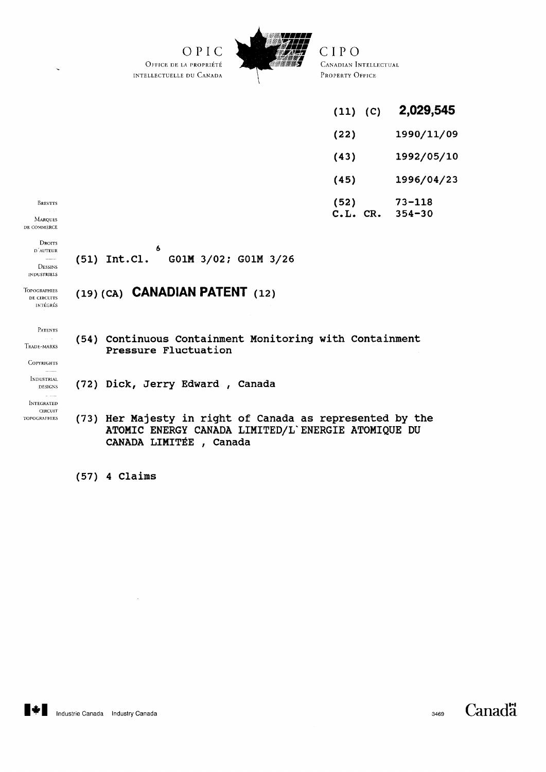O P I c **OFFIC E D E LA PROPRIÉT É INTELLECTUELLE DU CANADA** 

**(51) Int.Cl. G01M 3/02; G01M 3/26** 

**(19) (CA) CANADIAN PATENT (12)** 

6

**(72) Dick, Jerry Edward , Canada** 



C I P O **CANADIAN INTELLECTUAL PROPERT Y OFFIC E** 

| (11)<br>(C)         | 2,029,545            |
|---------------------|----------------------|
| (22)                | 1990/11/09           |
| (43)                | 1992/05/10           |
| (45)                | 1996/04/23           |
| (52)<br>c.L.<br>CR. | 73-118<br>$354 - 30$ |

BREVETS

 $\ddot{\phantom{0}}$ 

MARQUES<br>DE COMMERCE

DROITS D'AUTEUR DESSINS INDUSTRIELS

**TOPOGRAPHIES** DE CIRCUITS INTÉGRÉS

PATENTS

TRADE-MARKS **(54) Continuous Containment Monitoring with Containment Pressure Fluctuation** 

**COPYRIGHTS** 

INDUSTRIAL DESIGN'S INTEGRATED CIRCUIT

**TOPOGRAPHIES** 

**(73) Her Majesty in right of Canada as represented by the** 

**ATOMIC ENERGY CANADA LIMITED/L'ENERGIE ATOMIQUE DU CANADA LIMITÉE , Canada** 

**(57) 4 Claims** 

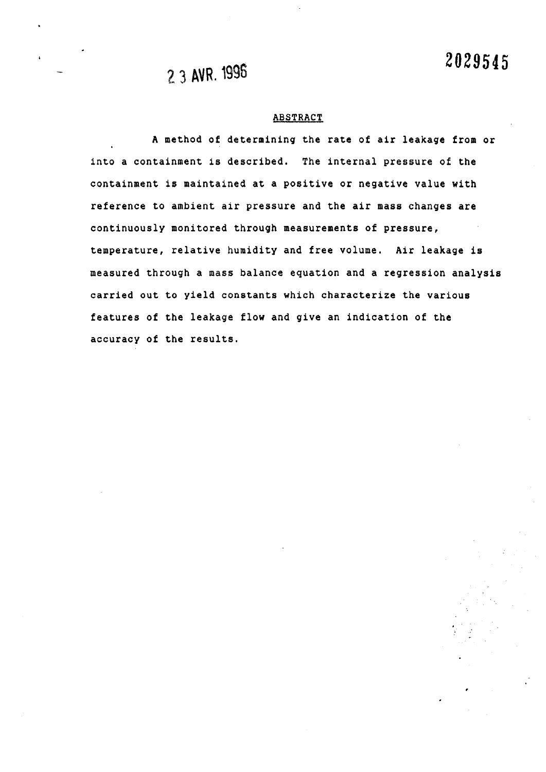# **<sup>2</sup> <sup>3</sup>** *m.***<sup>1998</sup>**

#### **ABSTRACT**

**A method of determining the rate of air leakage from or into a containment is described. The internal pressure of the containment is maintained at a positive or negative value with reference to ambient air pressure and the air mass changes are continuously monitored through measurements o£ pressure, temperature, relative humidity and free volume. Air leakage is measured through a mass balance equation and a regression analysis carried out to yield constants which characterize the various features of the leakage flow and give an indication of the accuracy of the results.**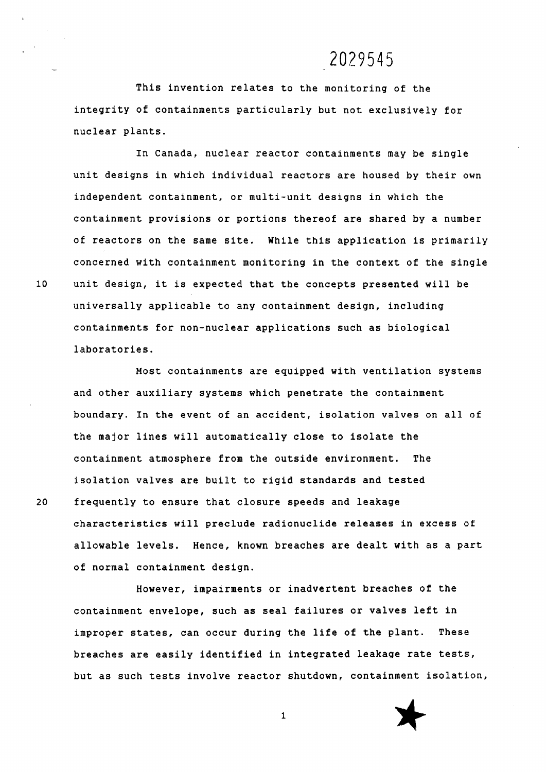**This invention relates to the monitoring of the integrity of containments particularly but not exclusively for nuclear plants.** 

**In Canada, nuclear reactor containments may be single unit designs in which individual reactors are housed by their own independent containment, or multi-unit designs in which the containment provisions or portions thereof are shared by a number of reactors on the same site. While this application is primarily concerned with containment monitoring in the context of the single 10 unit design, it is expected that the concepts presented will be universally applicable to any containment design, including containments for non-nuclear applications such as biological laboratories.** 

**and other auxiliary systems which penetrate the containment boundary. In the event of an accident, isolation valves on all of the major lines will automatically close to isolate the containment atmosphere from the outside environment. The isolation valves are built to rigid standards and tested 20 frequently to ensure that closure speeds and leakage characteristics will preclude radionuclide releases in excess of allowable levels. Hence, known breaches are dealt with as a part of normal containment design. Most containments are equipped with ventilation systems** 

**containment envelope, such as seal failures or valves left in improper states, can occur during the life of the plant. These breaches are easily identified in integrated leakage rate tests, but as such tests involve reactor shutdown, containment isolation, However, impairments or inadvertent breaches of the**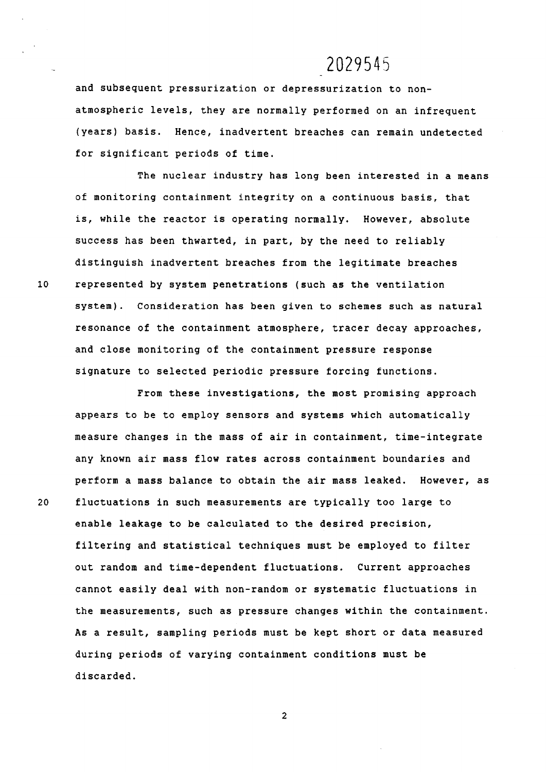**and subsequent pressurization or depressurization to nonatmospheric levels, they are normally performed on an infrequent (years) basis. Hence, inadvertent breaches can remain undetected for significant periods of time.** 

**The nuclear industry has long been interested in a means of monitoring containment integrity on a continuous basis, that is, while the reactor is operating normally. However, absolute success has been thwarted, in part, by the need to reliably distinguish inadvertent breaches from the legitimate breaches 10 represented by system penetrations (such as the ventilation system). Consideration has been given to schemes such as natural resonance of the containment atmosphere, tracer decay approaches, and close monitoring of the containment pressure response signature to selected periodic pressure forcing functions.** 

**From these investigations, the most promising approach appears to be to employ sensors and systems which automatically measure changes in the mass of air in containment, time-integrate any known air mass flow rates across containment boundaries and perform a mass balance to obtain the air mass leaked. However, as 20 fluctuations in such measurements are typically too large to enable leakage to be calculated to the desired precision, filtering and statistical techniques must be employed to filter out random and time-dependent fluctuations. Current approaches cannot easily deal with non-random or systematic fluctuations in the measurements, such as pressure changes within the containment. As a result, sampling periods must be kept short or data measured during periods of varying containment conditions must be discarded.**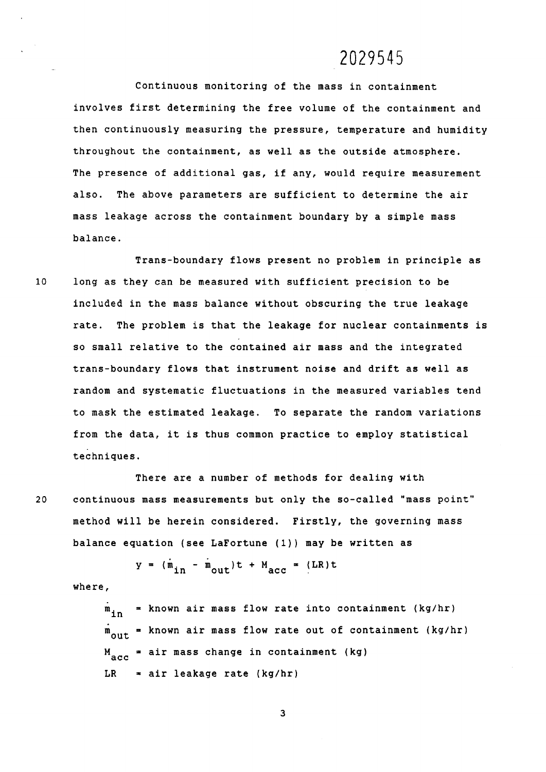**Continuous monitoring of the mass in containment involves first determining the free volume of the containment and then continuously measuring the pressure, temperature and humidity throughout the containment, as well as the outside atmosphere. The presence of additional gas, if any, would reguire measurement also. The above parameters are sufficient to determine the air mass leakage across the containment boundary by a simple mass balance.** 

**Trans-boundary flows present no problem in principle as 10 long as they can be measured with sufficient precision to be included in the mass balance without obscuring the true leakage rate. The problem is that the leakage for nuclear containments is so small relative to the contained air mass and the integrated trans-boundary flows that instrument noise and drift as well as random and systematic fluctuations in the measured variables tend to mask the estimated leakage. To separate the random variations from the data, it is thus common practice to employ statistical techniques.** 

**There are a number of methods for dealing with 20 continuous mass measurements but only the so-called "mass point" method will be herein considered. Firstly, the governing mass balance equation (see LaFortune (1)) may be written as** 

 $y = (\dot{m}_{in} - \dot{m}_{out})t + M_{acc} = (LR)t$ 

**where,** 

**m**<sub>in</sub> = known air mass flow rate into containment (kg/hr)  $^{\text{m}}$ <sub>OU</sub>t = known air mass flow rate out of containment (kg/hr)  $M_{\tt acc}$  = air mass change in containment (kg) **LR » air leakage rate (kg/hr)**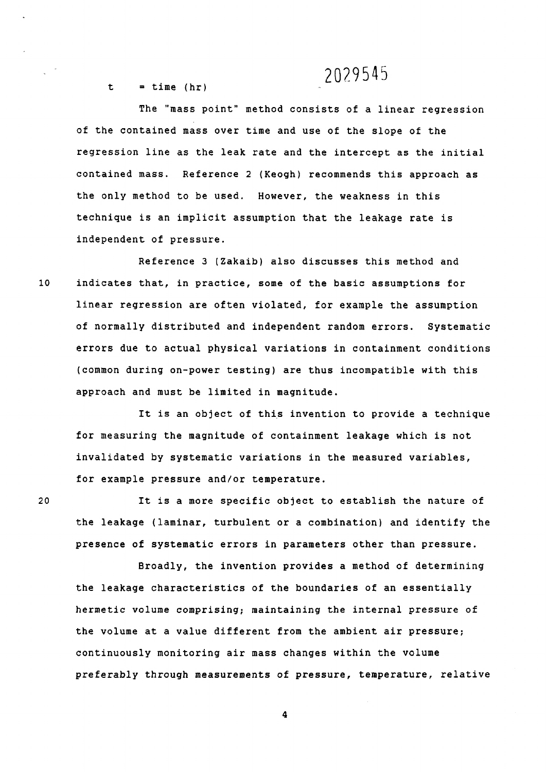$t = time (hr)$ 

202954 5

**The "mass point" method consists of a linear regression of the contained mass over time and use of the slope of the regression line as the leak rate and the intercept as the initial contained mass. Reference 2 (Keogh) recommends this approach as the only method to be used. However, the weakness in this technique is an implicit assumption that the leakage rate is independent of pressure.** 

**Reference 3 (Zakaib) also discusses this method and 10 indicates that, in practice, some of the basic assumptions for linear regression are often violated, for example the assumption of normally distributed and independent random errors. Systematic errors due to actual physical variations in containment conditions (common during on-power testing) are thus incompatible with this approach and must be limited in magnitude.** 

**It is an object of this invention to provide a technique for measuring the magnitude of containment leakage which is not invalidated by systematic variations in the measured variables, for example pressure and/or temperature.** 

**20 It is a more specific object to establish the nature of the leakage (laminar, turbulent or a combination) and identify the presence of systematic errors in parameters other than pressure.** 

**Broadly, the invention provides a method of determining the leakage characteristics of the boundaries of an essentially hermetic volume comprising; maintaining the internal pressure of the volume at a value different from the ambient air pressure; continuously monitoring air mass changes within the volume preferably through measurements of pressure, temperature, relative**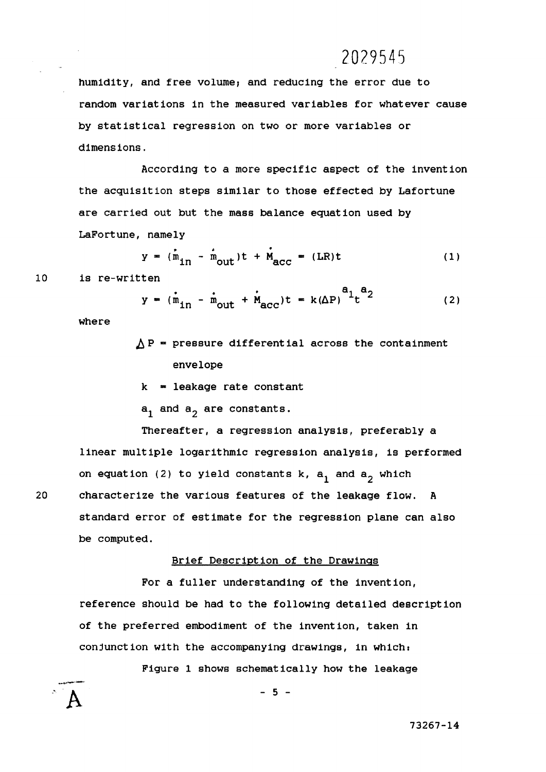humidity, and free volume; and reducing the error due to **random variations in the measured variables for whatever cause by statistical regression on two or more variables or dimensions.** 

**According to a more specific aspect of the invention the acquisition steps similar to those effected by Lafortune are carried out but the mass balance equation used by LaPortune, namely** 

$$
y = (\dot{\mathbf{m}}_{11} - \dot{\mathbf{m}}_{011})t + \dot{\mathbf{M}}_{acc} = (LR)t
$$
 (1)

 $10$ **is re-written** 

$$
y = (\dot{m}_{11} - \dot{m}_{\text{out}} + \dot{M}_{\text{acc}})t = k(\Delta P)^{\alpha} t^{\alpha} (2)
$$

**where** 

A

20

$$
\triangle P
$$
 = pressure differential across the containment envelope

**k - leakage rate constant** 

**a.^ and a2 are constants.** 

**Thereafter, a regression analysis, preferably a linear multiple logarithmic regression analysis, is performed on equation (2) to yield constants k, aj^ and a2 which characterize the various features of the leakage flow. A standard error of estimate for the regression plane can also be computed.** 

#### **Brief Description of the Drawings**

**For a fuller understanding of the invention, reference should be had to the following detailed description of the preferred embodiment of the invention, taken in conjunction with the accompanying drawings, in which:** 

**Figure 1 shows schematically how the leakage** 

 $-5 -$ 

**73267-14**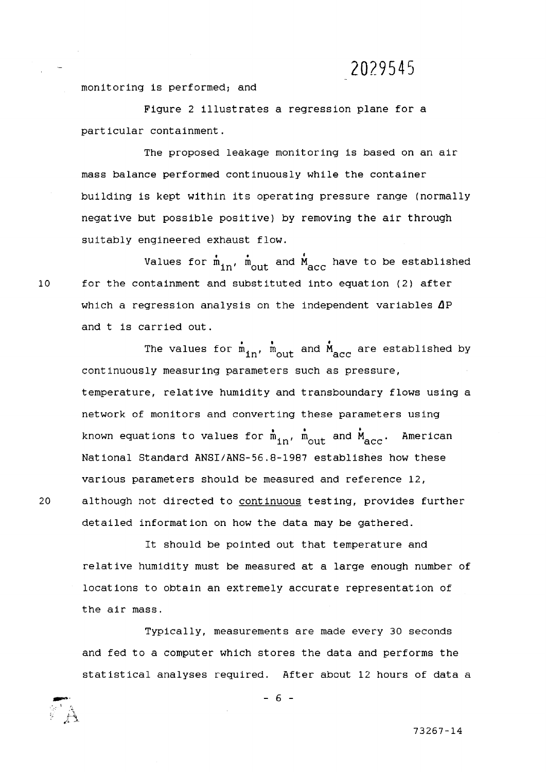**monitoring is performed; and** 

**Figure 2 illustrates a regression plane for a particular containment.** 

**The proposed leakage monitoring is based on an air mass balance performed continuously while the container building is kept within its operating pressure range (normally negative but possible positive) by removing the air through suitably engineered exhaust flow.** 

Values for  $\mathring{m}_{1n}$ ,  $\mathring{m}_{\text{out}}$  and  $\mathring{M}_{\text{acc}}$  have to be established **for the containment and substituted into equation (2) after which a regression analysis on the independent variables 4P and t is carried out.** 

The values for  $\mathring{m}_{1n}$ ,  $\mathring{m}_{\text{out}}$  and  $\mathring{M}_{\text{acc}}$  are established by **continuously measuring parameters such as pressure, temperature, relative humidity and transboundary flows using a network of monitors and converting these parameters using**  known equations to values for  $\mathring{\text{m}}_{\text{1n}'}$ ,  $\mathring{\text{m}}_{\text{out}}$  and  $\mathring{\text{M}}_{\text{acc}}$ . American **National Standard ANSI/ANS-56.8-1987 establishes how these various parameters should be measured and reference 12, although not directed to contlnuous testing, provides further detailed information on how the data may be gathered.** 

**It should be pointed out that temperature and relative humidity must be measured at a large enough number of locations to obtain an extremely accurate representation of the air mass.** 

**Typically, measurements are made every 30 seconds and fed to a computer which stores the data and performs the statistical analyses required. After about 12 hours of data a** 

**- 6 -**

10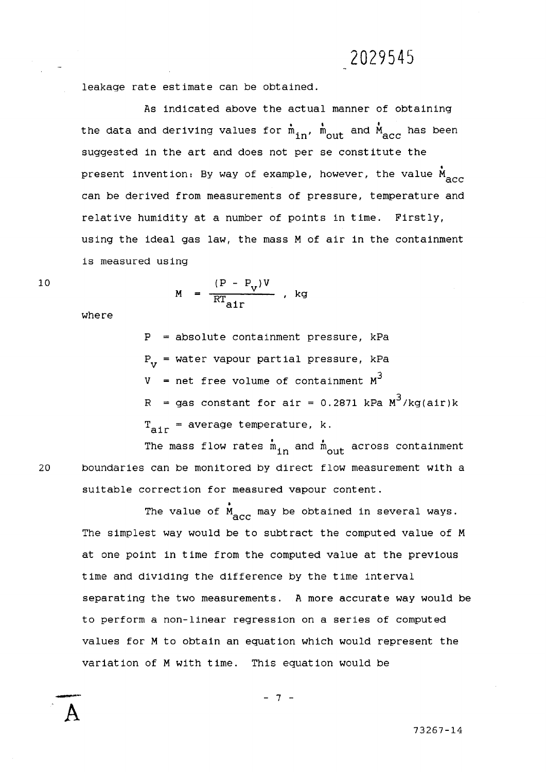**leakage rate estimate can be obtained.** 

**As indicated above the actual manner of obtaining**  the data and deriving values for  $\mathbf{m}_{1n}$ ,  $\mathbf{m}_{\text{out}}$  and  $\mathbf{M}_{\text{acc}}$  has been **suggested in the art and does not per se constitute the**  present invention: By way of example, however, the value  $\stackrel{\bullet}{\texttt{M}}_{\texttt{ACC}}$ **can be derived from measurements of pressure, temperature and relative humidity at a number of points in time. Firstly, using the ideal gas law, the mass M of air in the containment is measured using** 

$$
101
$$

$$
M = \frac{(P - P_v)V}{RT_{air}} , kg
$$

where

**P = absolute containment pressure, kPa P <sup>v</sup> = water vapour partial pressure, kPa**   $V$  = net free volume of containment  $M^3$ 3 **R = gas constant for air = 0.2871 kPa M /kg(air)k T = average temperature, k. air** 

20

A

The mass flow rates  $m_{1n}$  and  $m_{\text{out}}$  across containment **boundaries can be monitored by direct flow measurement with a suitable correction for measured vapour content.** 

The value of  $\stackrel{\bullet}{M}_{\text{acc}}$  may be obtained in several ways. **The simplest way would be to subtract the computed value of M at one point in time from the computed value at the previous time and dividing the difference by the time Interval separating the two measurements. A more accurate way would be to perform a non-linear regression on a series of computed values for M to obtain an equation which would represent the variation of M with time. This equation would be** 

$$
- 7 -
$$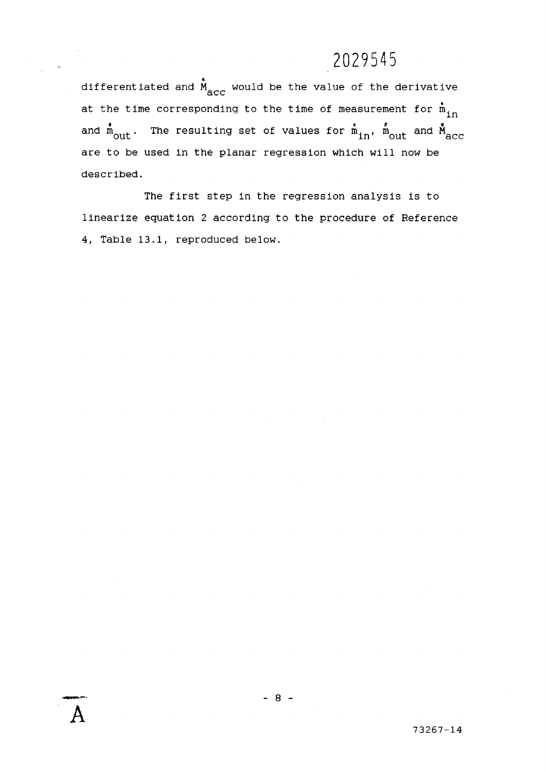**differentiated and M would be the value of the derivative acc at the time corresponding to the time of measurement for m <sup>i</sup> <sup>n</sup>** and  $\mathfrak{m}_{\text{out}}$  . The resulting set of values for  $\mathfrak{m}_{\text{in}}$ ,  $\mathfrak{m}_{\text{out}}$  and  $\mathfrak{M}_{\text{acc}}$ **are to be used in the planar regression which will now be described.** 

**The first step in the regression analysis is to linearize equation 2 according to the procedure of Reference 4, Table 13.1, reproduced below.** 

A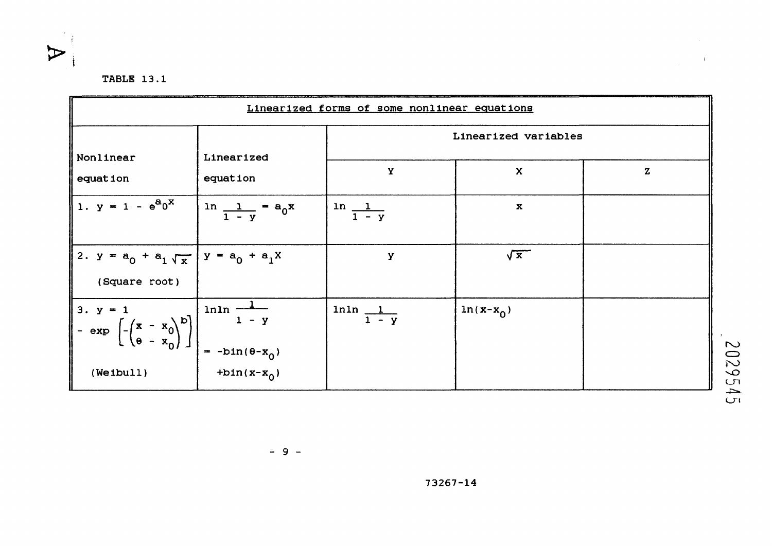

 $\forall$ 

| Linearized forms of some nonlinear equations                                                                  |                                              |                                         |             |             |  |  |
|---------------------------------------------------------------------------------------------------------------|----------------------------------------------|-----------------------------------------|-------------|-------------|--|--|
|                                                                                                               |                                              | Linearized variables                    |             |             |  |  |
| Nonlinear                                                                                                     | Linearized                                   | $\mathbf Y$                             | $\mathbf x$ | $\mathbf z$ |  |  |
| equation                                                                                                      | equation                                     |                                         |             |             |  |  |
| 1. $y = 1 - e^{a_0 X}$                                                                                        | $\ln \frac{1}{1-y} = a_0 x$                  | $\frac{1}{1-y}$                         | $\mathbf x$ |             |  |  |
| 2. $y = a_0 + a_1 \sqrt{x}$   $y = a_0 + a_1 X$<br>(Square root)                                              |                                              | У                                       | $\sqrt{x}$  |             |  |  |
| $\begin{bmatrix} 3. & y = 1 \\ -\exp\left[-\left(\frac{x}{e} - \frac{x_0}{x_0}\right)^D\right] \end{bmatrix}$ | $\frac{1}{1-y}$<br>$\  - \sin(\theta - x_0)$ | $\frac{\ln \ln \frac{1}{1 - y}}{1 - y}$ | $ln(x-x_0)$ |             |  |  |
| (We1 bul1)                                                                                                    | $+bin(x-x_0)$                                |                                         |             |             |  |  |

 $\mathcal{L}_{\text{max}}$  and  $\mathcal{L}_{\text{max}}$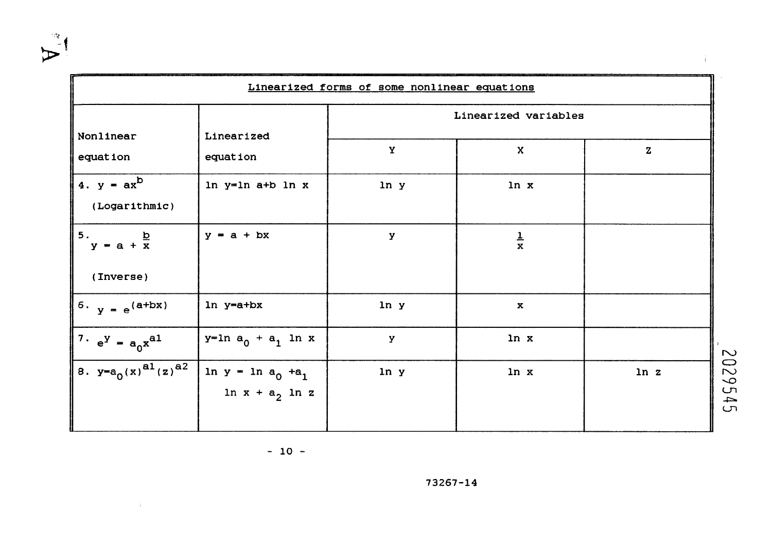| Linearized forms of some nonlinear equations |                                                |                      |               |             |  |  |
|----------------------------------------------|------------------------------------------------|----------------------|---------------|-------------|--|--|
|                                              |                                                | Linearized variables |               |             |  |  |
| Nonlinear<br>equation                        | Linearized<br>equation                         | Y                    | $\mathbf x$   | $\mathbf z$ |  |  |
| 4. $y = ax^b$<br>(Logarithmic)               | $ln y=ln a+b ln x$                             | ln y                 | ln x          |             |  |  |
| 5. $y = a + \frac{b}{x}$<br>(Inverse)        | $y = a + bx$                                   | y                    | $\frac{1}{x}$ |             |  |  |
| $6. y = e^{(a+bx)}$                          | ln y=a+bx                                      | ln y                 | $\mathbf x$   |             |  |  |
| $7 \cdot e^y = a_0 x^{a1}$                   | $y=ln a_0 + a_1 ln x$                          | У                    | ln x          |             |  |  |
| $ 8. y=a_0(x)^{a1}(z)^{a2} $                 | $\ln y = \ln a_0 + a_1$<br>$\ln x + a_2 \ln z$ | ln y                 | ln x          | ln z        |  |  |

**- 10 -**

 $\hat{X}^{(1)}$  ,  $\hat{X}^{(2)}$  ,  $\hat{X}^{(3)}$ 

 $V<sub>1</sub>$ 

**r o**   $\bigcirc$ **r o**   $n \rightarrow \infty$ **c-n** 

 $\hat{V}$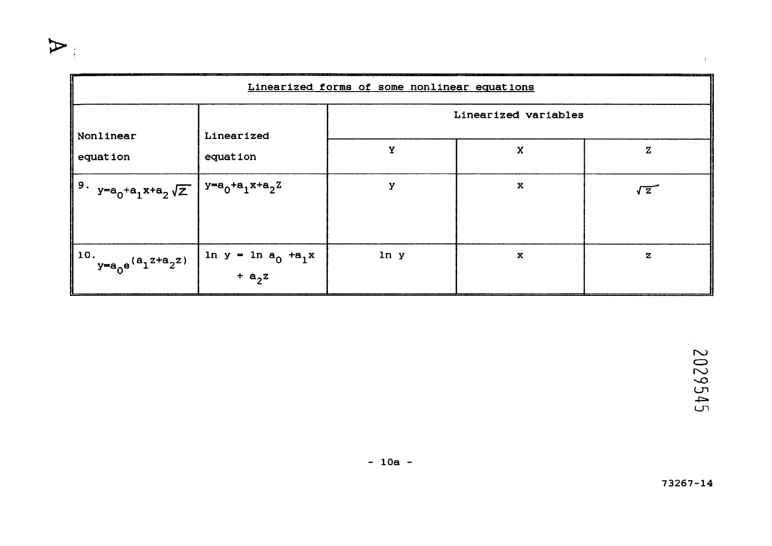| Linearized forms of some nonlinear equations             |                                            |                      |             |            |  |  |
|----------------------------------------------------------|--------------------------------------------|----------------------|-------------|------------|--|--|
|                                                          |                                            | Linearized variables |             |            |  |  |
| Nonlinear                                                | Linearized                                 |                      |             |            |  |  |
| equation                                                 | equation                                   | Ÿ                    | $\mathbf x$ | Z          |  |  |
| <sup>9.</sup> $y=a_0+a_1x+a_2\sqrt{z}$ $y=a_0+a_1x+a_2z$ |                                            | y                    | X           | $\sqrt{z}$ |  |  |
|                                                          |                                            |                      |             |            |  |  |
| $\int_0^{10} y=a_0 e^{(a_1 z+a_2 z)}$                    | ln y = ln a <sub>0</sub> +a <sub>1</sub> x | ln y                 | $\mathbf x$ | z          |  |  |
|                                                          | + $a_2$ z                                  |                      |             |            |  |  |

 $\sum_{i=1}^{n}$ 

 $\bar{1}$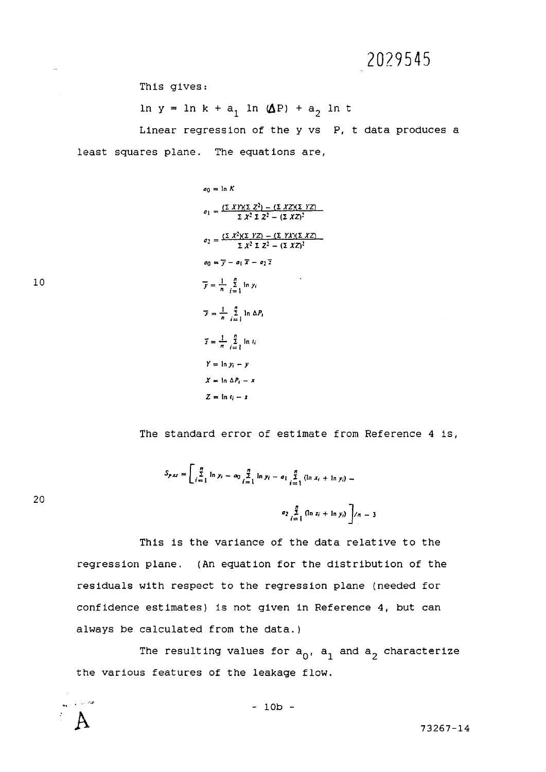This gives:

 $\ln y = \ln k + a_1 \ln (\Delta P) + a_2 \ln t$ 

Linear regression of the y vs P, t data produces a least squares plane. The equations are,

$$
a_0 = \ln K
$$
  
\n
$$
a_1 = \frac{(\sum XY)(\sum Z^2) - (\sum XZ)(\sum YZ)}{\sum X^2 \sum Z^2 - (\sum XZ)^2}
$$
  
\n
$$
a_2 = \frac{(\sum X^2)(\sum YZ) - (\sum YX)(\sum XZ)}{\sum X^2 \sum Z^2 - (\sum XZ)^2}
$$
  
\n
$$
a_0 = \overline{y} - a_1 \overline{x} - a_2 \overline{z}
$$
  
\n
$$
\overline{y} = \frac{1}{n} \sum_{i=1}^{n} \ln y_i
$$
  
\n
$$
\overline{y} = \frac{1}{n} \sum_{i=1}^{n} \ln \Delta P_i
$$
  
\n
$$
\overline{z} = \frac{1}{n} \sum_{i=1}^{n} \ln t_i
$$
  
\n
$$
Y = \ln y_i - y
$$
  
\n
$$
X = \ln \Delta P_i - x
$$
  
\n
$$
Z = \ln t_i - x
$$

 $10$ 

20

The standard error of estimate from Reference 4 is,

$$
S_{p,xz} = \left[ \sum_{i=1}^{n} \ln y_i - a_0 \sum_{i=1}^{n} \ln y_i - a_1 \sum_{i=1}^{n} (\ln x_i + \ln y_i) - a_2 \sum_{i=1}^{n} (\ln z_i + \ln y_i) \right] / n - 3
$$

This is the variance of the data relative to the regression plane. (An equation for the distribution of the residuals with respect to the regression plane (needed for confidence estimates) is not given in Reference 4, but can always be calculated from the data.)

The resulting values for  $a_0$ ,  $a_1$  and  $a_2$  characterize the various features of the leakage flow.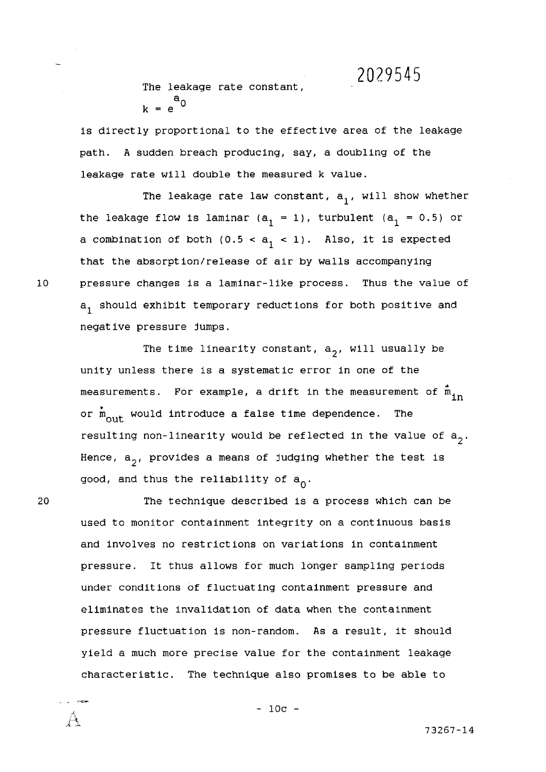**The leakage rate constant,**   $k = e^{a}$ 0

**Is directly proportional to the effective area of the leakage path. A sudden breach producing, say, a doubling of the leakage rate will double the measured k value.** 

**The leakage rate law constant, a^, will show whether**  the leakage flow is laminar  $(a^1 = 1)$ , turbulent  $(a^1 = 0.5)$  or a combination of both  $(0.5 < a<sub>1</sub> < 1)$ . Also, it is expected **that the absorption/release of air by walls accompanying pressure changes is a laminar-like process. Thus the value of a <sup>1</sup> should exhibit temporary reductions for both positive and negative pressure jumps.** 

**The time linearity constant, a<sup>2</sup> , will usually be unity unless there is a systematic error in one of the measurements. For example, a drift in the measurement of**  or  $\mathbf{m}_{\text{out}}$  would introduce a false time dependence. The resulting non-linearity would be reflected in the value of  $a_2$ . **Hence, a<sup>2</sup> , provides a means of judging whether the test is**  good, and thus the reliability of  $a_0$ .

**The technique described is a process which can be used to monitor containment integrity on a continuous basis and involves no restrictions on variations in containment pressure. It thus allows for much longer sampling periods under conditions of fluctuating containment pressure and eliminates the invalidation of data when the containment pressure fluctuation is non-random. As a result, it should yield a much more precise value for the containment leakage characteristic. The technique also promises to be able to** 

**- 10c -**

10

20

 $A$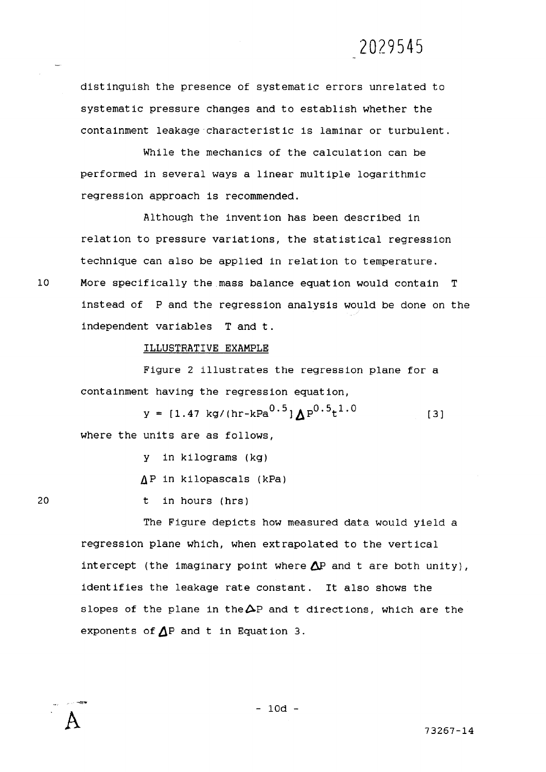**distinguish the presence of systematic errors unrelated to systematic pressure changes and to establish whether the containment leakage characteristic Is laminar or turbulent.** 

**While the mechanics of the calculation can be performed in several ways a linear multiple logarithmic regression approach is recommended.** 

**Although the Invention has been described in relation to pressure variations, the statistical regression technique can also be applied in relation to temperature. More specifically the mass balance equation would contain T instead of P and the regression analysis would be done on the independent variables T and t.** 

#### **ILLUSTRATIVE EXAMPLE**

**Figure 2 illustrates the regression plane for a containment having the regression equation,** 

$$
y = [1.47 \text{ kg/(hr-kPa}^{0.5}]\Delta P^{0.5}t^{1.0}
$$
 [3]

**where the units are as follows,** 

- **y ln kilograms (kg)**
- **A P in kllopascals (kPa)**

**t in hours (hrs)** 

**The Figure depicts how measured data would yield a regression plane which, when extrapolated to the vertical**  intercept (the imaginary point where  $\Delta P$  and t are both unity), **Identifies the leakage rate constant. It also shows the**  slopes of the plane in the $\Delta P$  and t directions, which are the exponents of  $\Delta P$  and t in Equation 3.

**- lOd -**

10



A

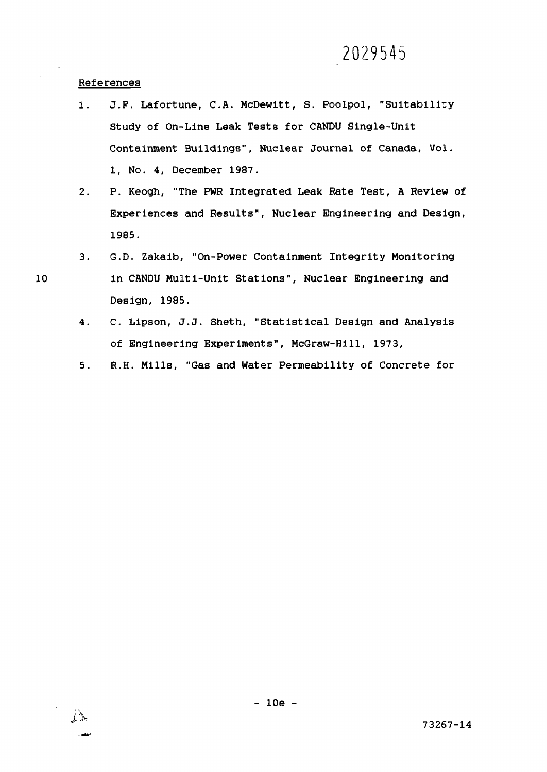#### **References**

- **1. J.P. Lafortune, C.A. McDewitt, S. Poolpol, "Suitability Study of On-Line Leak Tests for CANDU Single-Unit Containment Buildings", Nuclear Journal of Canada, Vol. 1, No. 4, December 1987.**
- **2. P. Keogh, "The PWR Integrated Leak Rate Test, A Review of Experiences and Results", Nuclear Engineering and Design, 1985.**
- **3. G.D. Zakaib, "On-Power Containment Integrity Monitoring 10 in CANDU Multi-Unit Stations", Nuclear Engineering and Design, 1985.** 
	- **4. C. Lipson, J.J. Sheth, "Statistical Design and Analysis of Engineering Experiments", McGraw-Hill, 1973,**
	- **5. R.H. Mills, "Gas and Water Permeability of Concrete for**

 $\Gamma$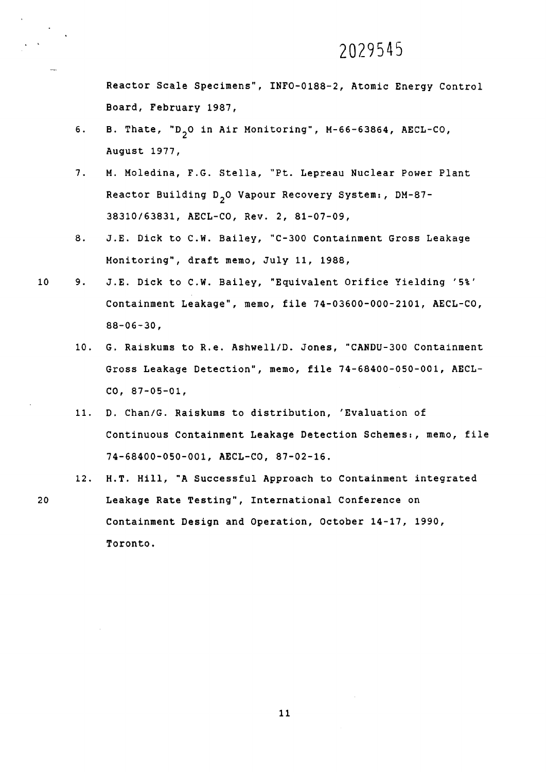**Reactor Scale Specimens", INFO-0188-2, Atomic Energy Control Board, February 1987,** 

- **6. B. Thate, <sup>M</sup> D<sup>2</sup> 0 in Air Monitoring", M-66-63864, AECL-CO, August 1977,**
- **7. M. Moledina, F.G. Stella, "Pt. Lepreau Nuclear Power Plant**  Reactor Building D<sub>2</sub>O Vapour Recovery System:, DM-87-**38310/63831, AECL-CO, Rev. 2, 81-07-09,**
- **8. J.E. Dick to C.W. Bailey, "C-300 Containment Gross Leakage Monitoring", draft memo, July 11, 1988,**
- **10 9. J.E. Dick to C.W. Bailey, "Equivalent Orifice Yielding '5%' Containment Leakage", memo, file 74-03600-000-2101, AECL-CO, 88-06-30,** 
	- **10. G. Raiskums to R.e. Ashwell/D. Jones, "CANDU-300 Containment Gross Leakage Detection", memo, file 74-68400-050-001, AECL-CO, 87-05-01,**
	- **11. D. Chan/G. Raiskums to distribution, 'Evaluation of Continuous Containment Leakage Detection Schemes!, memo, file 74-68400-050-001, AECL-CO, 87-02-16.**
- **12. H.T. Hill, "A Successful Approach to Containment integrated 20 Leakage Rate Testing", International Conference on Containment Design and Operation, October 14-17, 1990, Toronto.**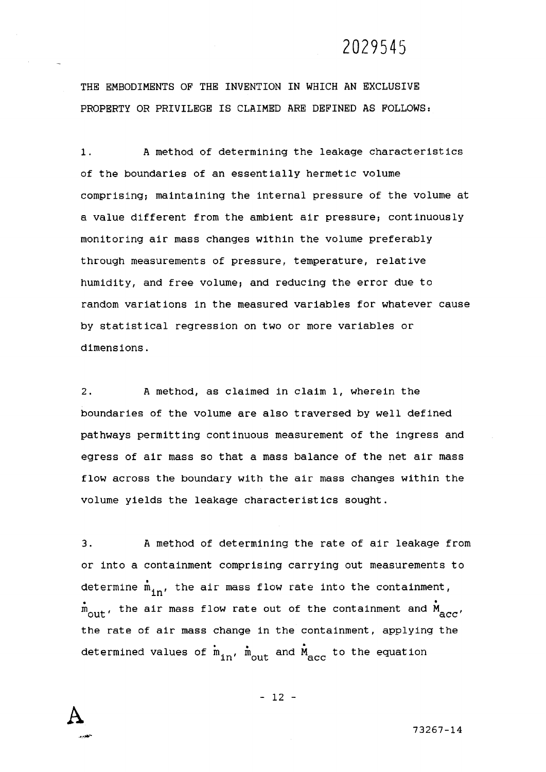**THE EMBODIMENTS OF THE INVENTION IN WHICH AN EXCLUSIVE PROPERTY OR PRIVILEGE IS CLAIMED ARE DEFINED AS FOLLOWS:** 

**1. A method of determining the leakage characteristics of the boundaries of an essentially hermetic volume comprising; maintaining the internal pressure of the volume at**  a value different from the ambient air pressure; continuously **monitoring air mass changes within the volume preferably through measurements of pressure, temperature, relative humidity, and free volume; and reducing the error due to random variations ln the measured variables for whatever cause by statistical regression on two or more variables or dimensions.** 

**2. A method, as claimed in claim 1, wherein the boundaries of the volume are also traversed by well defined pathways permitting continuous measurement of the ingress and egress of air mass so that a mass balance of the net air mass flow across the boundary with the air mass changes within the volume yields the leakage characteristics sought.** 

**3. A method of determining the rate of air leakage from or Into a containment comprising carrying out measurements to**  determine  $\mathbf{m}_{1n}$ , the air mass flow rate into the containment, out, the air mass flow rate out of the containment and M<sub>acc</sub>, **the rate of air mass change in the containment, applying the**  determined values of  $\dot{m}_{in}$ ,  $\dot{m}_{out}$  and  $\dot{M}_{acc}$  to the equation

**- 12 -**

 ${\bf A}_1$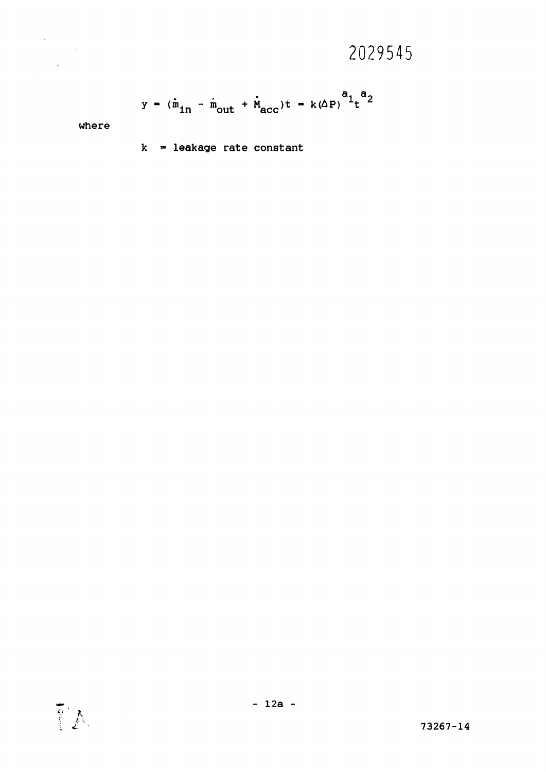$$
y = (\dot{m}_{1n} - \dot{m}_{out} + \dot{M}_{acc})t = k(\Delta P)^{a_1}t^{a_2}
$$

where

 $\label{eq:2} \frac{d\mathbf{r}}{d\mathbf{r}} = \frac{1}{2} \sum_{i=1}^n \frac{d\mathbf{r}}{d\mathbf{r}} \, .$ 

 $\mathcal{O}(\mathcal{O}(\log n))$ 

 $k =$  leakage rate constant

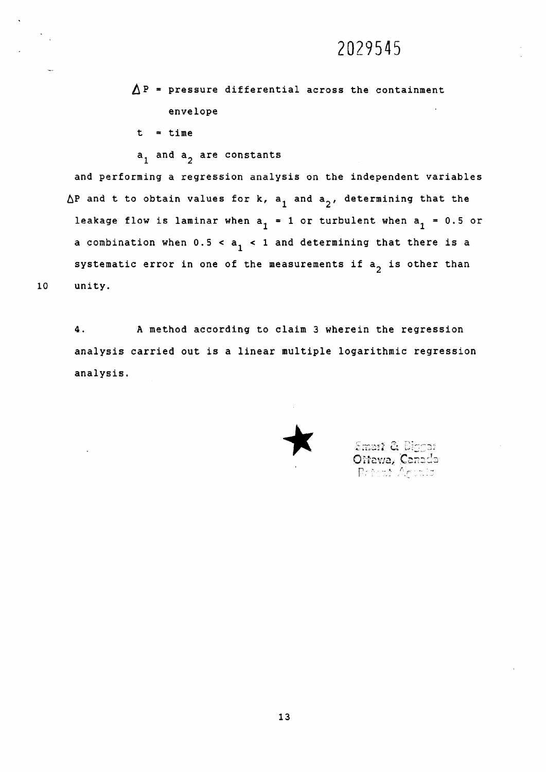**P - pressure differential across the containment envelope** 

- **t time**
- a<sub>1</sub> and a<sub>2</sub> are constants

**and performing a regression analysis on the independent variables**   $\Delta$ P and t to obtain values for k, a<sub>1</sub> and a<sub>2</sub>, determining that the **leakage flow is laminar when**  $a_1 = 1$  **or turbulent when**  $a_1 = 0.5$  **or a** combination when  $0.5 < a_1 < 1$  and determining that there is a systematic error in one of the measurements if a<sub>2</sub> is other than **10 unity.** 

**analysis carried out is a linear multiple logarithmic regression analysis. 4. A method according to claim 3 wherein the regression** 

Smart & Biggar Offawa, Canada Principle Aeanla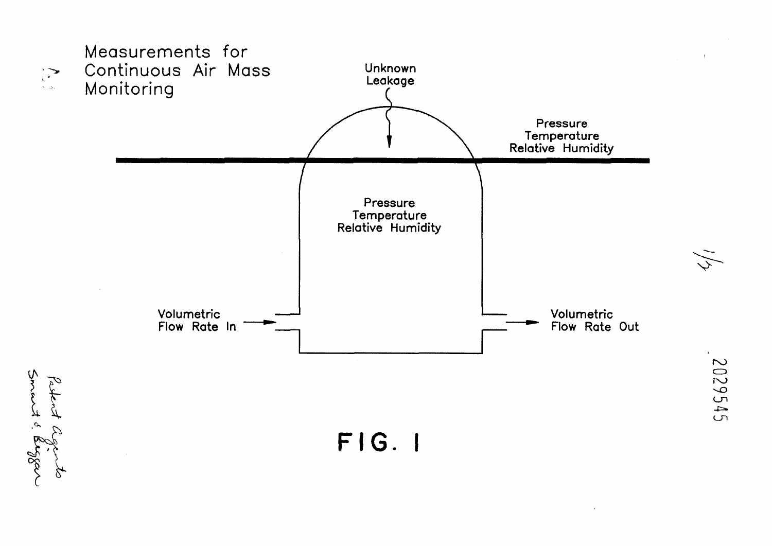